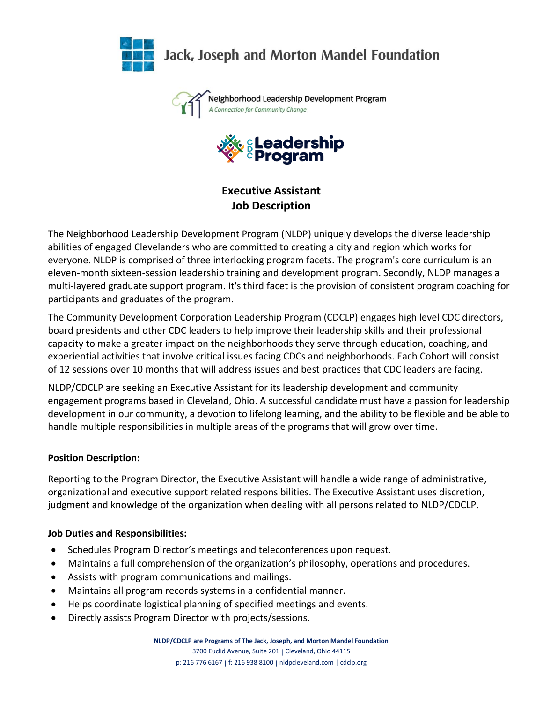

Jack, Joseph and Morton Mandel Foundation

Neighborhood Leadership Development Program A Connection for Community Change



**Executive Assistant Job Description**

The Neighborhood Leadership Development Program (NLDP) uniquely develops the diverse leadership abilities of engaged Clevelanders who are committed to creating a city and region which works for everyone. NLDP is comprised of three interlocking program facets. The program's core curriculum is an eleven-month sixteen-session leadership training and development program. Secondly, NLDP manages a multi-layered graduate support program. It's third facet is the provision of consistent program coaching for participants and graduates of the program.

The Community Development Corporation Leadership Program (CDCLP) engages high level CDC directors, board presidents and other CDC leaders to help improve their leadership skills and their professional capacity to make a greater impact on the neighborhoods they serve through education, coaching, and experiential activities that involve critical issues facing CDCs and neighborhoods. Each Cohort will consist of 12 sessions over 10 months that will address issues and best practices that CDC leaders are facing.

NLDP/CDCLP are seeking an Executive Assistant for its leadership development and community engagement programs based in Cleveland, Ohio. A successful candidate must have a passion for leadership development in our community, a devotion to lifelong learning, and the ability to be flexible and be able to handle multiple responsibilities in multiple areas of the programs that will grow over time.

## **Position Description:**

Reporting to the Program Director, the Executive Assistant will handle a wide range of administrative, organizational and executive support related responsibilities. The Executive Assistant uses discretion, judgment and knowledge of the organization when dealing with all persons related to NLDP/CDCLP.

### **Job Duties and Responsibilities:**

- Schedules Program Director's meetings and teleconferences upon request.
- Maintains a full comprehension of the organization's philosophy, operations and procedures.
- Assists with program communications and mailings.
- Maintains all program records systems in a confidential manner.
- Helps coordinate logistical planning of specified meetings and events.
- Directly assists Program Director with projects/sessions.